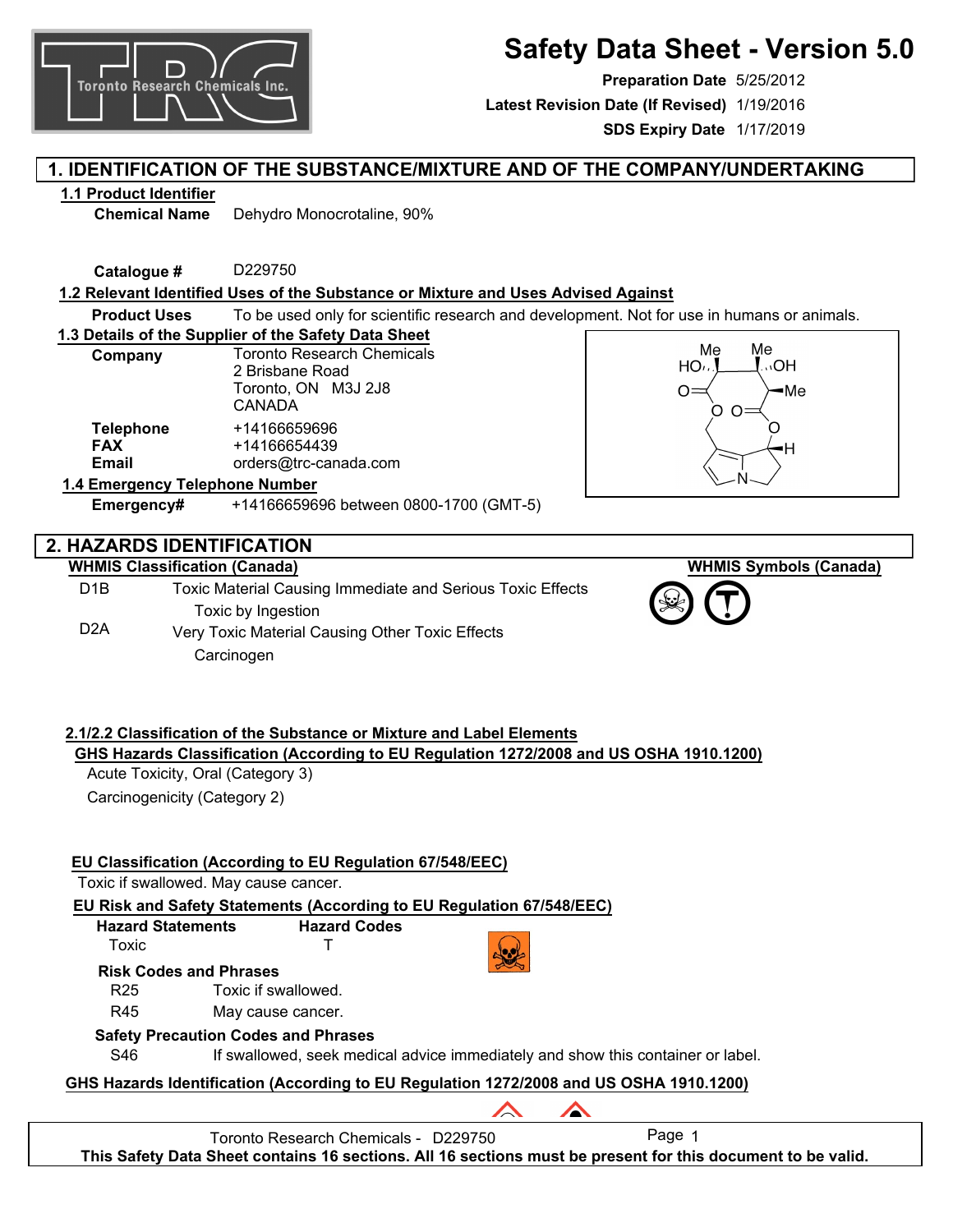

**Preparation Date** 5/25/2012 **SDS Expiry Date** 1/17/2019 **Latest Revision Date (If Revised)** 1/19/2016

# **1. IDENTIFICATION OF THE SUBSTANCE/MIXTURE AND OF THE COMPANY/UNDERTAKING**

# **1.1 Product Identifier**

**Chemical Name** Dehydro Monocrotaline, 90%

**Catalogue #** D229750

**Toronto Research Chemicals Inc.** 

## **1.2 Relevant Identified Uses of the Substance or Mixture and Uses Advised Against**

**Product Uses** To be used only for scientific research and development. Not for use in humans or animals.

**1.3 Details of the Supplier of the Safety Data Sheet**

| Company                                 | <b>Toronto Research Chemicals</b><br>2 Brisbane Road<br>Toronto, ON M3J 2J8<br>CANADA |  |  |
|-----------------------------------------|---------------------------------------------------------------------------------------|--|--|
| <b>Telephone</b><br><b>FAX</b><br>Email | +14166659696<br>+14166654439<br>orders@trc-canada.com                                 |  |  |
| 1.4 Emergency Telephone Number          |                                                                                       |  |  |



**WHMIS Symbols (Canada)**

# **2. HAZARDS IDENTIFICATION**

### **WHMIS Classification (Canada)**

D1B D2A Toxic Material Causing Immediate and Serious Toxic Effects Toxic by Ingestion Very Toxic Material Causing Other Toxic Effects **Carcinogen** 

**Emergency#** +14166659696 between 0800-1700 (GMT-5)

# **2.1/2.2 Classification of the Substance or Mixture and Label Elements GHS Hazards Classification (According to EU Regulation 1272/2008 and US OSHA 1910.1200)**

Acute Toxicity, Oral (Category 3) Carcinogenicity (Category 2)

# **EU Classification (According to EU Regulation 67/548/EEC)**

Toxic if swallowed. May cause cancer.

**EU Risk and Safety Statements (According to EU Regulation 67/548/EEC)**

**Hazard Statements** Toxic **Hazard Codes** T



∕

**Risk Codes and Phrases**

R25 Toxic if swallowed.

R45 May cause cancer.

# **Safety Precaution Codes and Phrases**

S46 If swallowed, seek medical advice immediately and show this container or label.

**GHS Hazards Identification (According to EU Regulation 1272/2008 and US OSHA 1910.1200)**

Toronto Research Chemicals - D229750 Page 1

**This Safety Data Sheet contains 16 sections. All 16 sections must be present for this document to be valid.**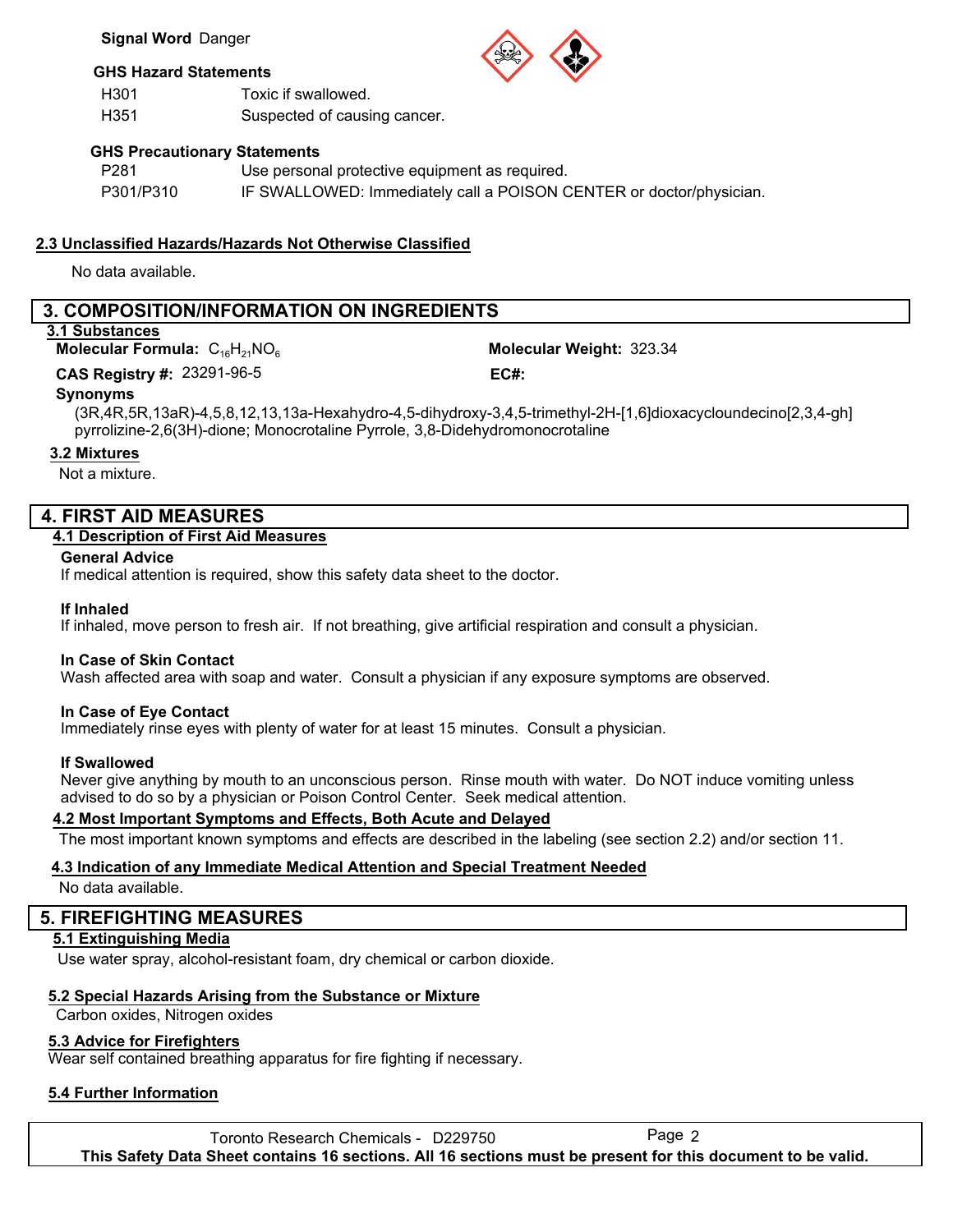### **GHS Hazard Statements**

H301 H351 Toxic if swallowed. Suspected of causing cancer.

## **GHS Precautionary Statements**

| P <sub>281</sub> | Use personal protective equipment as required.                      |
|------------------|---------------------------------------------------------------------|
| P301/P310        | IF SWALLOWED: Immediately call a POISON CENTER or doctor/physician. |

# **2.3 Unclassified Hazards/Hazards Not Otherwise Classified**

No data available.

# **3. COMPOSITION/INFORMATION ON INGREDIENTS**

## **3.1 Substances**

**Molecular Formula:**  $C_{16}H_{21}NO_6$ 

23291-96-5 **CAS Registry #: EC#:**

Molecular Weight: 323.34

# **Synonyms**

(3R,4R,5R,13aR)-4,5,8,12,13,13a-Hexahydro-4,5-dihydroxy-3,4,5-trimethyl-2H-[1,6]dioxacycloundecino[2,3,4-gh] pyrrolizine-2,6(3H)-dione; Monocrotaline Pyrrole, 3,8-Didehydromonocrotaline

## **3.2 Mixtures**

Not a mixture.

# **4. FIRST AID MEASURES**

## **4.1 Description of First Aid Measures**

**General Advice**

If medical attention is required, show this safety data sheet to the doctor.

## **If Inhaled**

If inhaled, move person to fresh air. If not breathing, give artificial respiration and consult a physician.

## **In Case of Skin Contact**

Wash affected area with soap and water. Consult a physician if any exposure symptoms are observed.

## **In Case of Eye Contact**

Immediately rinse eyes with plenty of water for at least 15 minutes. Consult a physician.

## **If Swallowed**

Never give anything by mouth to an unconscious person. Rinse mouth with water. Do NOT induce vomiting unless advised to do so by a physician or Poison Control Center. Seek medical attention.

## **4.2 Most Important Symptoms and Effects, Both Acute and Delayed**

The most important known symptoms and effects are described in the labeling (see section 2.2) and/or section 11.

# **4.3 Indication of any Immediate Medical Attention and Special Treatment Needed**

No data available.

# **5. FIREFIGHTING MEASURES**

# **5.1 Extinguishing Media**

Use water spray, alcohol-resistant foam, dry chemical or carbon dioxide.

# **5.2 Special Hazards Arising from the Substance or Mixture**

Carbon oxides, Nitrogen oxides

# **5.3 Advice for Firefighters**

Wear self contained breathing apparatus for fire fighting if necessary.

# **5.4 Further Information**

Toronto Research Chemicals - D229750 Page 2 **This Safety Data Sheet contains 16 sections. All 16 sections must be present for this document to be valid.**



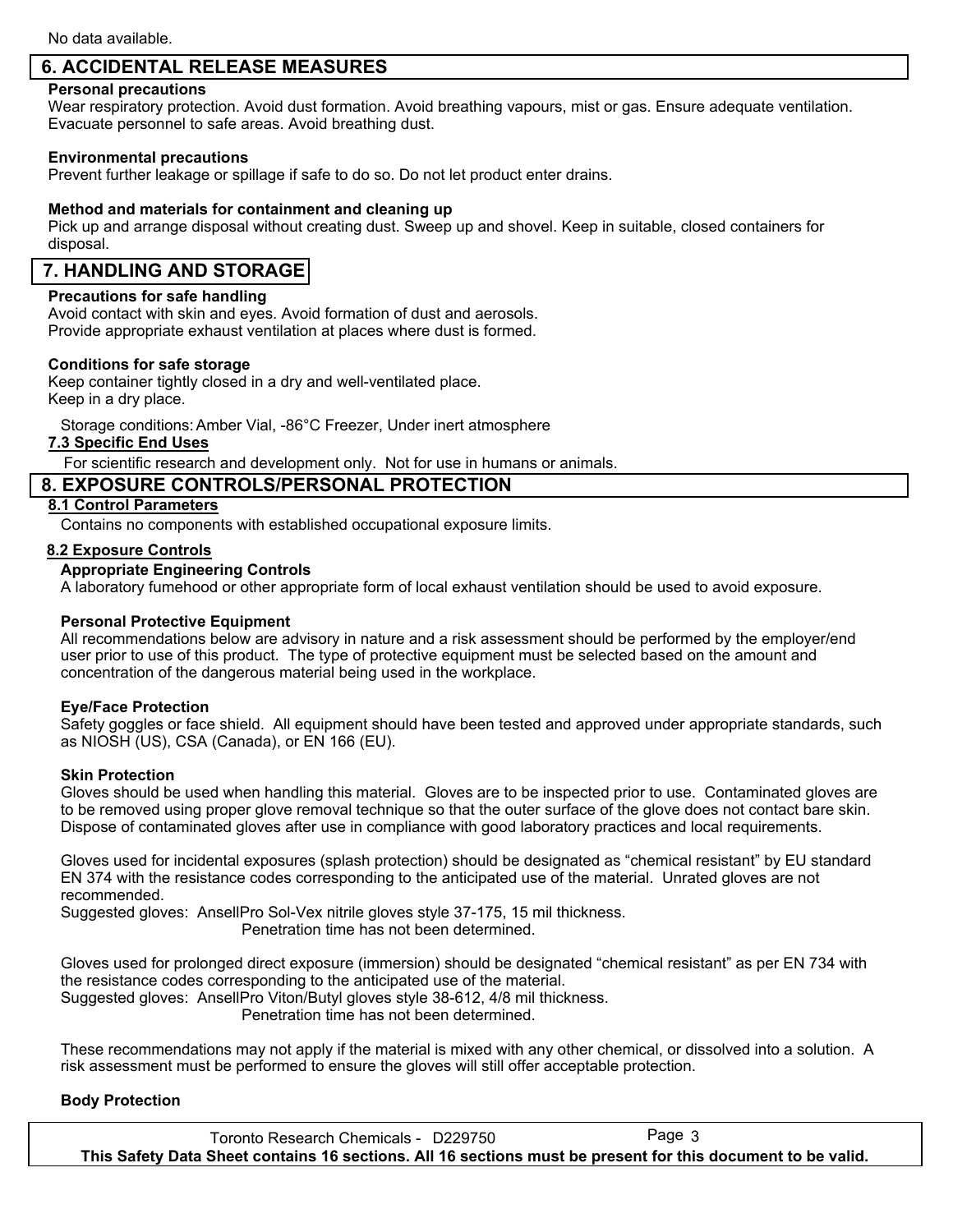# **6. ACCIDENTAL RELEASE MEASURES**

### **Personal precautions**

Wear respiratory protection. Avoid dust formation. Avoid breathing vapours, mist or gas. Ensure adequate ventilation. Evacuate personnel to safe areas. Avoid breathing dust.

### **Environmental precautions**

Prevent further leakage or spillage if safe to do so. Do not let product enter drains.

### **Method and materials for containment and cleaning up**

Pick up and arrange disposal without creating dust. Sweep up and shovel. Keep in suitable, closed containers for disposal.

# **7. HANDLING AND STORAGE**

### **Precautions for safe handling**

Avoid contact with skin and eyes. Avoid formation of dust and aerosols. Provide appropriate exhaust ventilation at places where dust is formed.

### **Conditions for safe storage**

Keep container tightly closed in a dry and well-ventilated place. Keep in a dry place.

Storage conditions:Amber Vial, -86°C Freezer, Under inert atmosphere

### **7.3 Specific End Uses**

For scientific research and development only. Not for use in humans or animals.

## **8. EXPOSURE CONTROLS/PERSONAL PROTECTION**

### **8.1 Control Parameters**

Contains no components with established occupational exposure limits.

### **8.2 Exposure Controls**

### **Appropriate Engineering Controls**

A laboratory fumehood or other appropriate form of local exhaust ventilation should be used to avoid exposure.

### **Personal Protective Equipment**

All recommendations below are advisory in nature and a risk assessment should be performed by the employer/end user prior to use of this product. The type of protective equipment must be selected based on the amount and concentration of the dangerous material being used in the workplace.

### **Eye/Face Protection**

Safety goggles or face shield. All equipment should have been tested and approved under appropriate standards, such as NIOSH (US), CSA (Canada), or EN 166 (EU).

### **Skin Protection**

Gloves should be used when handling this material. Gloves are to be inspected prior to use. Contaminated gloves are to be removed using proper glove removal technique so that the outer surface of the glove does not contact bare skin. Dispose of contaminated gloves after use in compliance with good laboratory practices and local requirements.

Gloves used for incidental exposures (splash protection) should be designated as "chemical resistant" by EU standard EN 374 with the resistance codes corresponding to the anticipated use of the material. Unrated gloves are not recommended.

Suggested gloves: AnsellPro Sol-Vex nitrile gloves style 37-175, 15 mil thickness. Penetration time has not been determined.

Gloves used for prolonged direct exposure (immersion) should be designated "chemical resistant" as per EN 734 with the resistance codes corresponding to the anticipated use of the material. Suggested gloves: AnsellPro Viton/Butyl gloves style 38-612, 4/8 mil thickness.

Penetration time has not been determined.

These recommendations may not apply if the material is mixed with any other chemical, or dissolved into a solution. A risk assessment must be performed to ensure the gloves will still offer acceptable protection.

### **Body Protection**

Toronto Research Chemicals - D229750 Page 3 **This Safety Data Sheet contains 16 sections. All 16 sections must be present for this document to be valid.**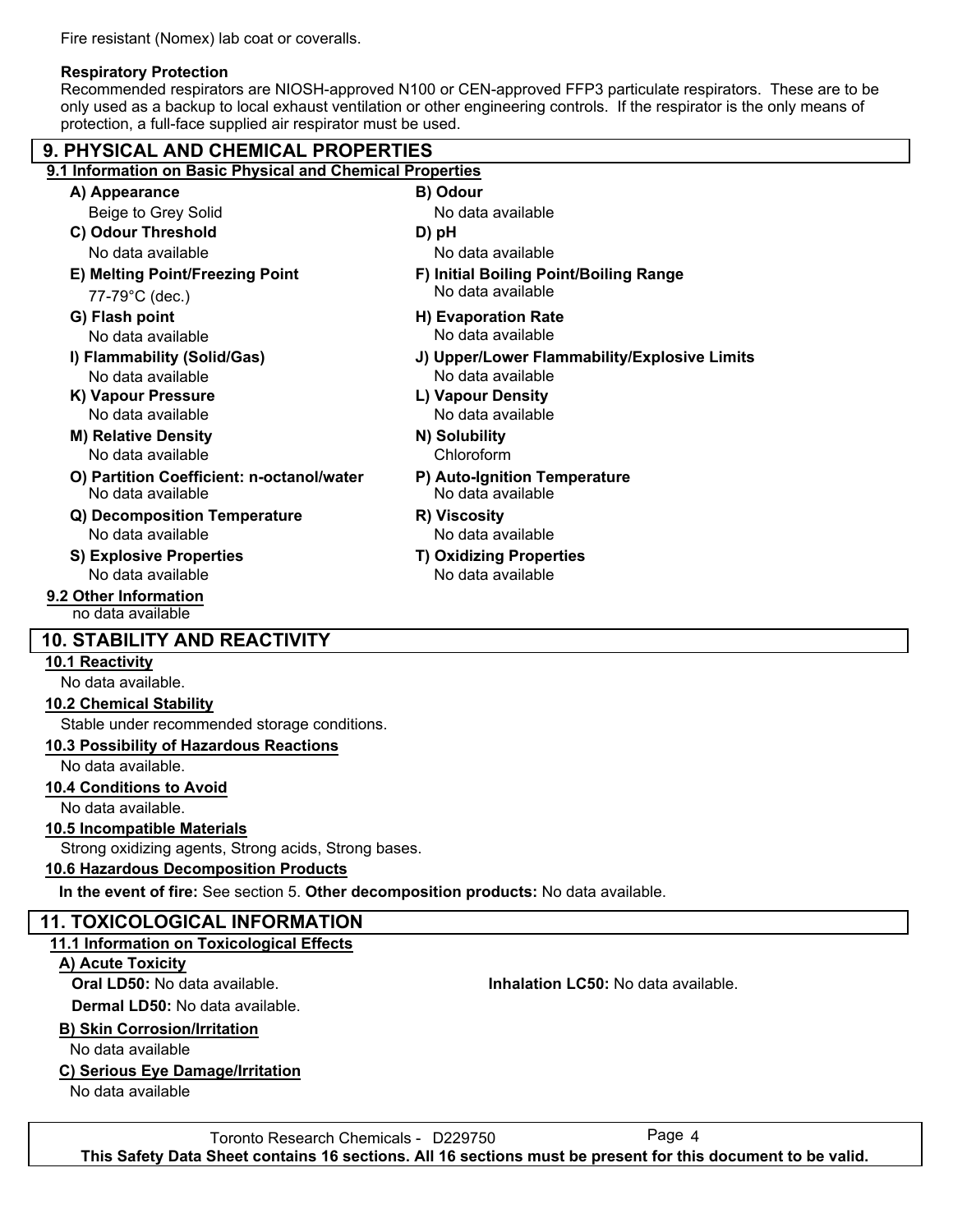Fire resistant (Nomex) lab coat or coveralls.

# **Respiratory Protection**

Recommended respirators are NIOSH-approved N100 or CEN-approved FFP3 particulate respirators. These are to be only used as a backup to local exhaust ventilation or other engineering controls. If the respirator is the only means of protection, a full-face supplied air respirator must be used.

| <b>9. PHYSICAL AND CHEMICAL PROPERTIES</b>                                            |                                                   |  |  |  |  |
|---------------------------------------------------------------------------------------|---------------------------------------------------|--|--|--|--|
| 9.1 Information on Basic Physical and Chemical Properties                             |                                                   |  |  |  |  |
| A) Appearance                                                                         | B) Odour                                          |  |  |  |  |
| Beige to Grey Solid                                                                   | No data available                                 |  |  |  |  |
| C) Odour Threshold                                                                    | D) pH                                             |  |  |  |  |
| No data available                                                                     | No data available                                 |  |  |  |  |
| E) Melting Point/Freezing Point                                                       | F) Initial Boiling Point/Boiling Range            |  |  |  |  |
| 77-79°C (dec.)                                                                        | No data available                                 |  |  |  |  |
| G) Flash point                                                                        | H) Evaporation Rate                               |  |  |  |  |
| No data available                                                                     | No data available                                 |  |  |  |  |
| I) Flammability (Solid/Gas)                                                           | J) Upper/Lower Flammability/Explosive Limits      |  |  |  |  |
| No data available                                                                     | No data available                                 |  |  |  |  |
| K) Vapour Pressure                                                                    | L) Vapour Density                                 |  |  |  |  |
| No data available                                                                     | No data available                                 |  |  |  |  |
| <b>M) Relative Density</b>                                                            | N) Solubility                                     |  |  |  |  |
| No data available                                                                     | Chloroform                                        |  |  |  |  |
| O) Partition Coefficient: n-octanol/water<br>No data available                        | P) Auto-Ignition Temperature<br>No data available |  |  |  |  |
| Q) Decomposition Temperature                                                          | R) Viscosity                                      |  |  |  |  |
| No data available                                                                     | No data available                                 |  |  |  |  |
| S) Explosive Properties                                                               | <b>T) Oxidizing Properties</b>                    |  |  |  |  |
| No data available                                                                     | No data available                                 |  |  |  |  |
| 9.2 Other Information<br>no data available                                            |                                                   |  |  |  |  |
| <b>10. STABILITY AND REACTIVITY</b>                                                   |                                                   |  |  |  |  |
| 10.1 Reactivity                                                                       |                                                   |  |  |  |  |
| No data available.                                                                    |                                                   |  |  |  |  |
| <b>10.2 Chemical Stability</b>                                                        |                                                   |  |  |  |  |
| Stable under recommended storage conditions.                                          |                                                   |  |  |  |  |
| 10.3 Possibility of Hazardous Reactions                                               |                                                   |  |  |  |  |
| No data available.                                                                    |                                                   |  |  |  |  |
| <b>10.4 Conditions to Avoid</b>                                                       |                                                   |  |  |  |  |
| No data available.                                                                    |                                                   |  |  |  |  |
| 10.5 Incompatible Materials                                                           |                                                   |  |  |  |  |
| Strong oxidizing agents, Strong acids, Strong bases.                                  |                                                   |  |  |  |  |
| 10.6 Hazardous Decomposition Products                                                 |                                                   |  |  |  |  |
| In the event of fire: See section 5. Other decomposition products: No data available. |                                                   |  |  |  |  |
| <b>11. TOXICOLOGICAL INFORMATION</b>                                                  |                                                   |  |  |  |  |
| 11.1 Information on Toxicological Effects                                             |                                                   |  |  |  |  |
| A) Acute Toxicity                                                                     |                                                   |  |  |  |  |
| Oral LD50: No data available.                                                         | Inhalation LC50: No data available.               |  |  |  |  |
| Dermal LD50: No data available.                                                       |                                                   |  |  |  |  |
| <b>B) Skin Corrosion/Irritation</b>                                                   |                                                   |  |  |  |  |
| No data available                                                                     |                                                   |  |  |  |  |
| C) Serious Eye Damage/Irritation                                                      |                                                   |  |  |  |  |
| No data available                                                                     |                                                   |  |  |  |  |

Toronto Research Chemicals - D229750 Page 4 **This Safety Data Sheet contains 16 sections. All 16 sections must be present for this document to be valid.**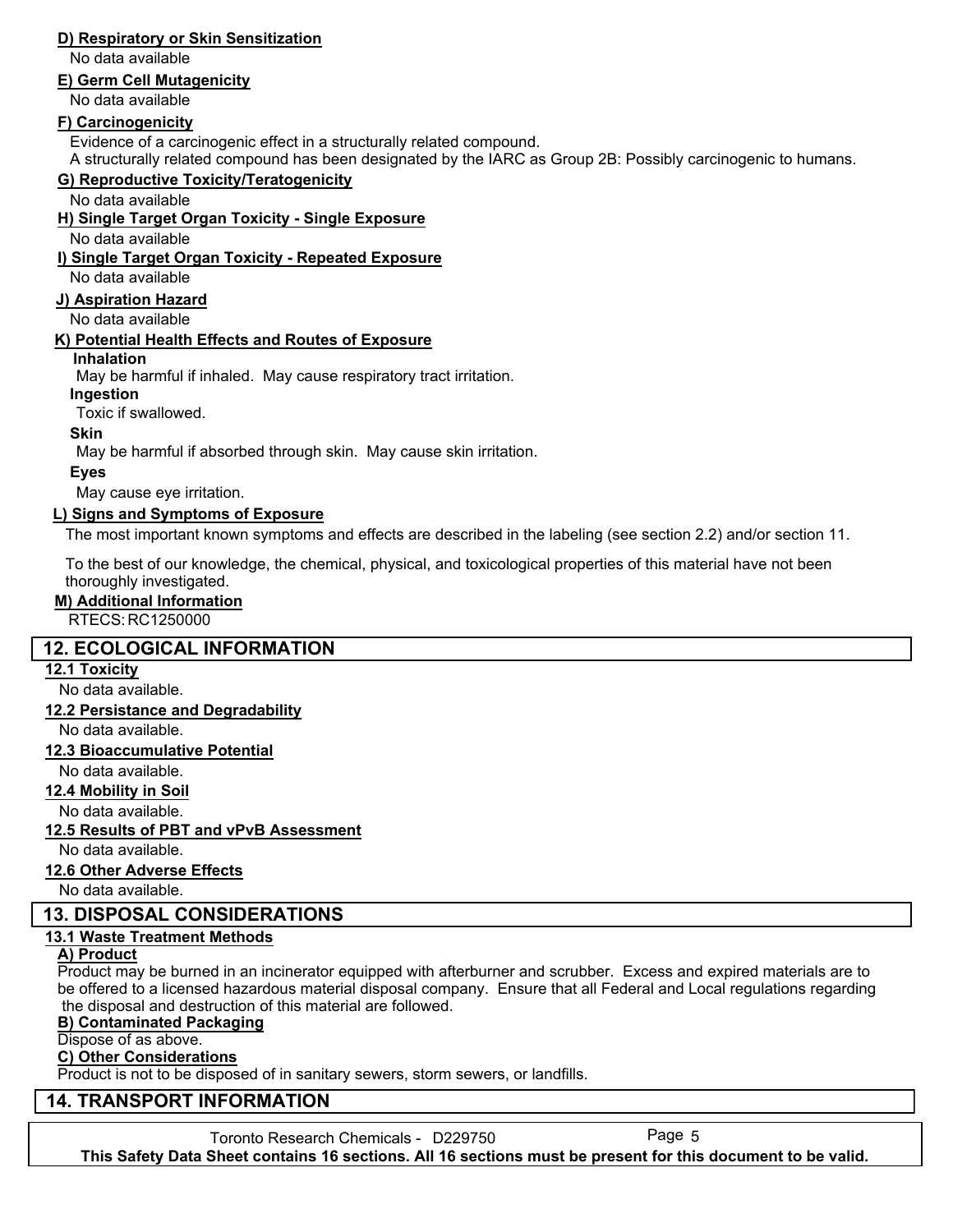# **D) Respiratory or Skin Sensitization**

No data available

### **E) Germ Cell Mutagenicity**

No data available

## **F) Carcinogenicity**

Evidence of a carcinogenic effect in a structurally related compound.

A structurally related compound has been designated by the IARC as Group 2B: Possibly carcinogenic to humans.

# **G) Reproductive Toxicity/Teratogenicity**

No data available

## **H) Single Target Organ Toxicity - Single Exposure**

No data available

## **I) Single Target Organ Toxicity - Repeated Exposure**

No data available

### **J) Aspiration Hazard**

No data available

## **K) Potential Health Effects and Routes of Exposure**

### **Inhalation**

May be harmful if inhaled. May cause respiratory tract irritation.

### **Ingestion**

Toxic if swallowed.

### **Skin**

May be harmful if absorbed through skin. May cause skin irritation.

## **Eyes**

May cause eye irritation.

## **L) Signs and Symptoms of Exposure**

The most important known symptoms and effects are described in the labeling (see section 2.2) and/or section 11.

To the best of our knowledge, the chemical, physical, and toxicological properties of this material have not been thoroughly investigated.

### **M) Additional Information**

RTECS: RC1250000

# **12. ECOLOGICAL INFORMATION**

## **12.1 Toxicity**

No data available.

# **12.2 Persistance and Degradability**

No data available.

### **12.3 Bioaccumulative Potential**

No data available.

## **12.4 Mobility in Soil**

No data available.

## **12.5 Results of PBT and vPvB Assessment**

No data available.

## **12.6 Other Adverse Effects**

No data available.

# **13. DISPOSAL CONSIDERATIONS**

## **13.1 Waste Treatment Methods**

### **A) Product**

Product may be burned in an incinerator equipped with afterburner and scrubber. Excess and expired materials are to be offered to a licensed hazardous material disposal company. Ensure that all Federal and Local regulations regarding the disposal and destruction of this material are followed.

### **B) Contaminated Packaging**

Dispose of as above.

## **C) Other Considerations**

Product is not to be disposed of in sanitary sewers, storm sewers, or landfills.

# **14. TRANSPORT INFORMATION**

Toronto Research Chemicals - D229750 Page 5 **This Safety Data Sheet contains 16 sections. All 16 sections must be present for this document to be valid.**